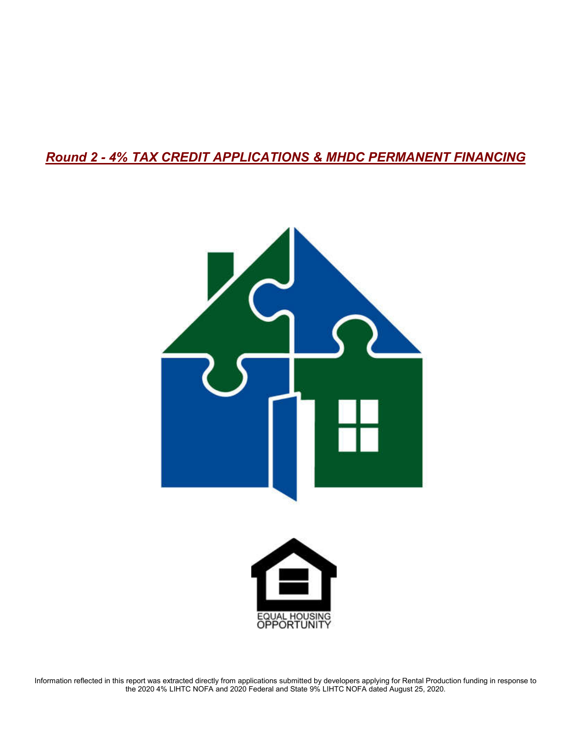# *Round 2 - 4% TAX CREDIT APPLICATIONS & MHDC PERMANENT FINANCING*





Information reflected in this report was extracted directly from applications submitted by developers applying for Rental Production funding in response to the 2020 4% LIHTC NOFA and 2020 Federal and State 9% LIHTC NOFA dated August 25, 2020.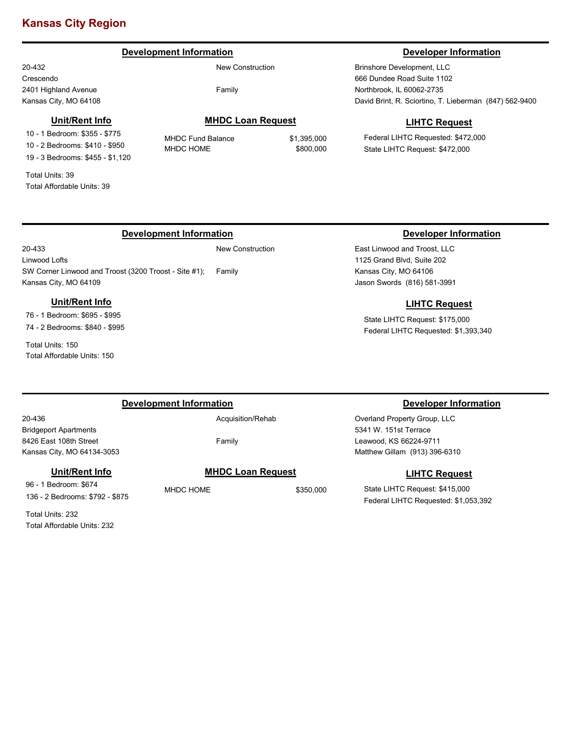# **Kansas City Region**

# **Development Information Developer Information**

20-432 Crescendo 2401 Highland Avenue Kansas City, MO 64108

## **Unit/Rent Info**

10 - 1 Bedroom: \$355 - \$775 10 - 2 Bedrooms: \$410 - \$950 19 - 3 Bedrooms: \$455 - \$1,120

Total Units: 39 Total Affordable Units: 39

20-433

### New Construction

Family

**MHDC Loan Request**

MHDC Fund Balance \$1,395,000 MHDC HOME \$800,000

Brinshore Development, LLC 666 Dundee Road Suite 1102 Northbrook, IL 60062-2735 David Brint, R. Sciortino, T. Lieberman (847) 562-9400

# **LIHTC Request**

Federal LIHTC Requested: \$472,000 State LIHTC Request: \$472,000

# **Development Information Developer Information**

Linwood Lofts SW Corner Linwood and Troost (3200 Troost - Site #1); Kansas City, MO 64109

# **Unit/Rent Info**

76 - 1 Bedroom: \$695 - \$995 74 - 2 Bedrooms: \$840 - \$995

Total Units: 150 Total Affordable Units: 150

New Construction

Family

East Linwood and Troost, LLC 1125 Grand Blvd, Suite 202 Kansas City, MO 64106 Jason Swords (816) 581-3991

# **LIHTC Request**

State LIHTC Request: \$175,000 Federal LIHTC Requested: \$1,393,340

### **Development Information Developer Information**

20-436 Bridgeport Apartments 8426 East 108th Street Kansas City, MO 64134-3053

# **Unit/Rent Info**

96 - 1 Bedroom: \$674 136 - 2 Bedrooms: \$792 - \$875

Total Units: 232 Total Affordable Units: 232 Family

# **MHDC Loan Request**

MHDC HOME \$350,000

Overland Property Group, LLC 5341 W. 151st Terrace Leawood, KS 66224-9711 Matthew Gillam (913) 396-6310

### **LIHTC Request**

State LIHTC Request: \$415,000 Federal LIHTC Requested: \$1,053,392

Acquisition/Rehab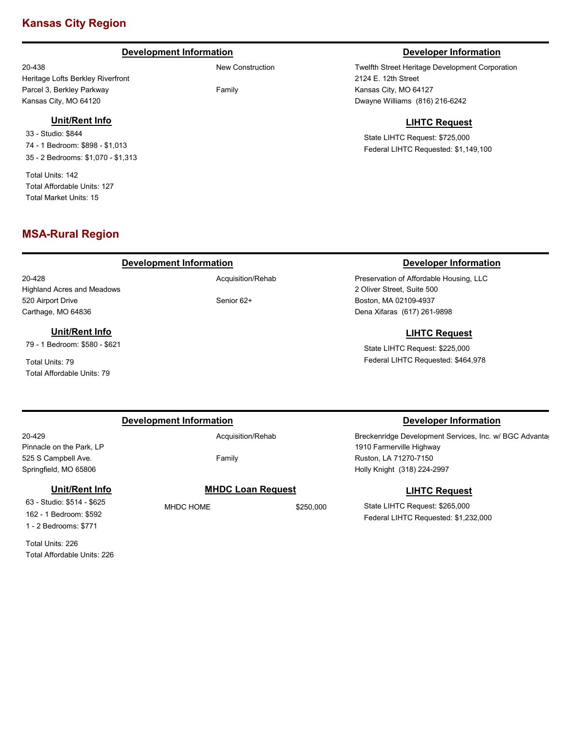# **Kansas City Region**

# **Development Information Developer Information**

New Construction

Family

20-438 Heritage Lofts Berkley Riverfront Parcel 3, Berkley Parkway Kansas City, MO 64120

## **Unit/Rent Info**

33 - Studio: \$844 74 - 1 Bedroom: \$898 - \$1,013 35 - 2 Bedrooms: \$1,070 - \$1,313

Total Units: 142 Total Affordable Units: 127 Total Market Units: 15

# **MSA-Rural Region**

# **Development Information Developer Information**

20-428 Highland Acres and Meadows 520 Airport Drive Carthage, MO 64836

### **Unit/Rent Info**

79 - 1 Bedroom: \$580 - \$621

Total Units: 79 Total Affordable Units: 79

# **Development Information Developer Information**

20-429

Pinnacle on the Park, LP 525 S Campbell Ave. Springfield, MO 65806

# **Unit/Rent Info**

63 - Studio: \$514 - \$625 162 - 1 Bedroom: \$592 1 - 2 Bedrooms: \$771

Total Units: 226 Total Affordable Units: 226 Acquisition/Rehab

Family

**MHDC Loan Request**

MHDC HOME \$250,000

Twelfth Street Heritage Development Corporation 2124 E. 12th Street Kansas City, MO 64127 Dwayne Williams (816) 216-6242

# **LIHTC Request**

State LIHTC Request: \$725,000 Federal LIHTC Requested: \$1,149,100

Preservation of Affordable Housing, LLC 2 Oliver Street, Suite 500 Boston, MA 02109-4937 Dena Xifaras (617) 261-9898

# **LIHTC Request**

State LIHTC Request: \$225,000 Federal LIHTC Requested: \$464,978

Breckenridge Development Services, Inc. w/ BGC Advantag 1910 Farmerville Highway Ruston, LA 71270-7150 Holly Knight (318) 224-2997

# **LIHTC Request**

State LIHTC Request: \$265,000 Federal LIHTC Requested: \$1,232,000

Acquisition/Rehab

Senior 62+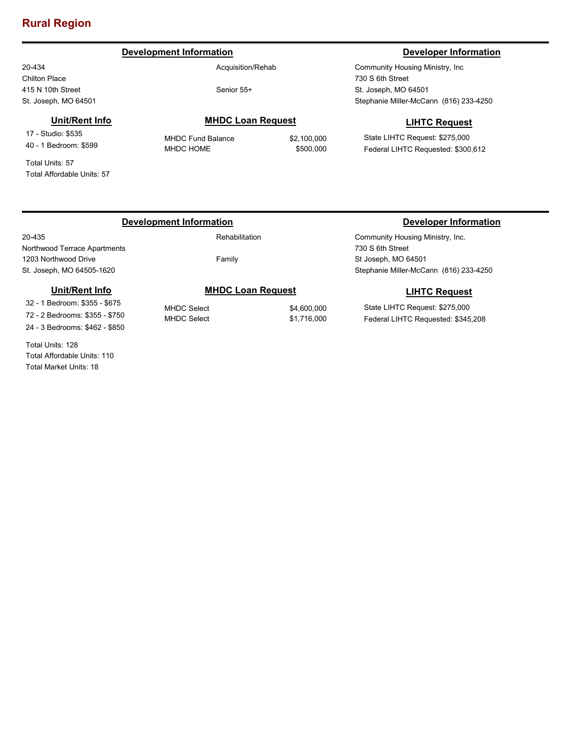# **Rural Region**

# **Development Information Developer Information**

20-434 Chilton Place 415 N 10th Street St. Joseph, MO 64501

Acquisition/Rehab

Senior 55+

# **Unit/Rent Info**

17 - Studio: \$535 40 - 1 Bedroom: \$599

Total Units: 57 Total Affordable Units: 57

# **MHDC Loan Request**

MHDC Fund Balance \$2,100,000 MHDC HOME \$500,000

Community Housing Ministry, Inc 730 S 6th Street St. Joseph, MO 64501 Stephanie Miller-McCann (816) 233-4250

# **LIHTC Request**

State LIHTC Request: \$275,000 Federal LIHTC Requested: \$300,612

# **Development Information Developer Information**

20-435

Northwood Terrace Apartments 1203 Northwood Drive St. Joseph, MO 64505-1620

# Rehabilitation

Family

# **Unit/Rent Info**

32 - 1 Bedroom: \$355 - \$675 72 - 2 Bedrooms: \$355 - \$750 24 - 3 Bedrooms: \$462 - \$850

Total Units: 128 Total Affordable Units: 110 Total Market Units: 18

# **MHDC Loan Request**

MHDC Select \$4,600,000

# MHDC Select \$1,716,000

Community Housing Ministry, Inc. 730 S 6th Street St Joseph, MO 64501 Stephanie Miller-McCann (816) 233-4250

# **LIHTC Request**

State LIHTC Request: \$275,000 Federal LIHTC Requested: \$345,208